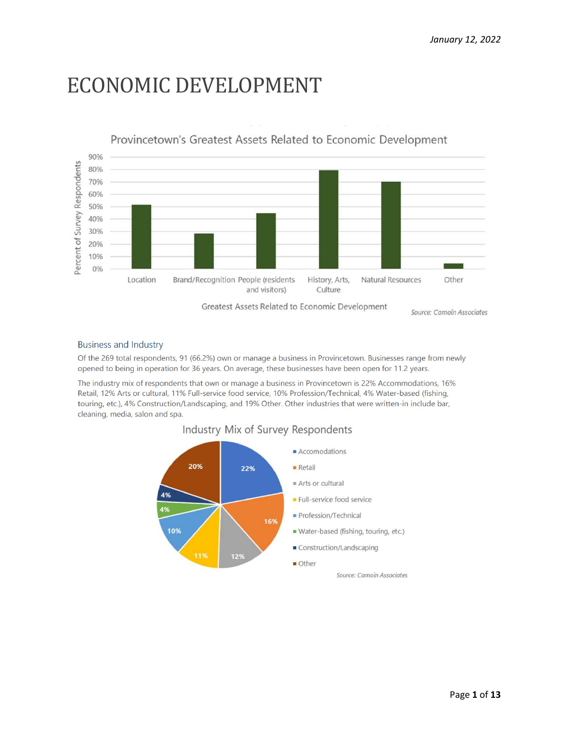# ECONOMIC DEVELOPMENT



Greatest Assets Related to Economic Development

Source: Camoin Associates

#### **Business and Industry**

Of the 269 total respondents, 91 (66.2%) own or manage a business in Provincetown. Businesses range from newly opened to being in operation for 36 years. On average, these businesses have been open for 11.2 years.

The industry mix of respondents that own or manage a business in Provincetown is 22% Accommodations, 16% Retail, 12% Arts or cultural, 11% Full-service food service, 10% Profession/Technical, 4% Water-based (fishing, touring, etc.), 4% Construction/Landscaping, and 19% Other. Other industries that were written-in include bar, cleaning, media, salon and spa.

#### Industry Mix of Survey Respondents

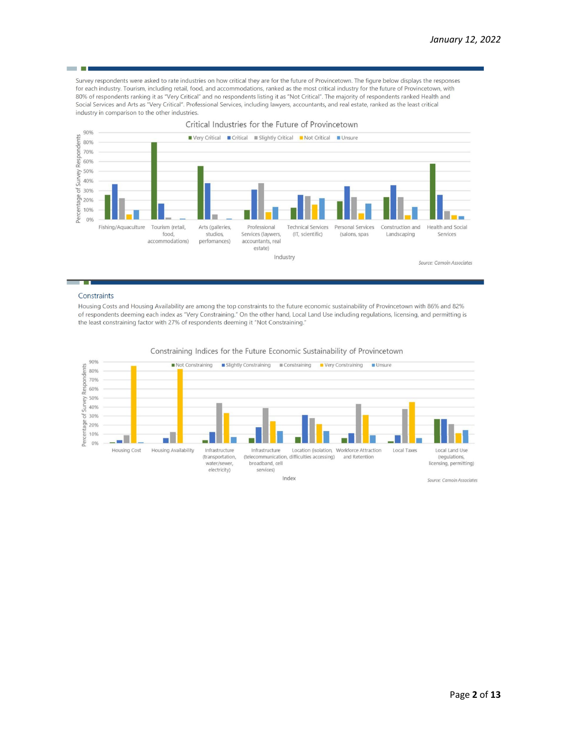Survey respondents were asked to rate industries on how critical they are for the future of Provincetown. The figure below displays the responses for each industry. Tourism, including retail, food, and accommodations, ranked as the most critical industry for the future of Provincetown, with 80% of respondents ranking it as "Very Critical" and no respondents listing it as "Not Critical". The majority of respondents ranked Health and Social Services and Arts as "Very Critical". Professional Services, including lawyers, accountants, and real estate, ranked as the least critical industry in comparison to the other industries.



#### Constraints

- 1

Housing Costs and Housing Availability are among the top constraints to the future economic sustainability of Provincetown with 86% and 82% of respondents deeming each index as "Very Constraining." On the other hand, Local Land Use including regulations, licensing, and permitting is the least constraining factor with 27% of respondents deeming it "Not Constraining."



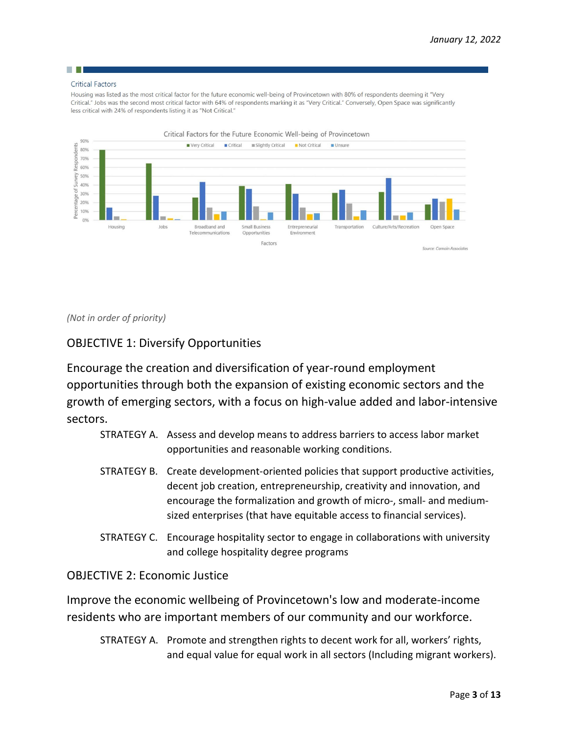## **The College**

#### **Critical Factors**

Housing was listed as the most critical factor for the future economic well-being of Provincetown with 80% of respondents deeming it "Very Critical." Jobs was the second most critical factor with 64% of respondents marking it as "Very Critical." Conversely, Open Space was significantly less critical with 24% of respondents listing it as "Not Critical."



*(Not in order of priority)* 

### OBJECTIVE 1: Diversify Opportunities

Encourage the creation and diversification of year-round employment opportunities through both the expansion of existing economic sectors and the growth of emerging sectors, with a focus on high-value added and labor-intensive sectors.

- STRATEGY A. Assess and develop means to address barriers to access labor market opportunities and reasonable working conditions.
- STRATEGY B. Create development-oriented policies that support productive activities, decent job creation, entrepreneurship, creativity and innovation, and encourage the formalization and growth of micro-, small- and mediumsized enterprises (that have equitable access to financial services).
- STRATEGY C. Encourage hospitality sector to engage in collaborations with university and college hospitality degree programs

#### OBJECTIVE 2: Economic Justice

Improve the economic wellbeing of Provincetown's low and moderate-income residents who are important members of our community and our workforce.

STRATEGY A. Promote and strengthen rights to decent work for all, workers' rights, and equal value for equal work in all sectors (Including migrant workers).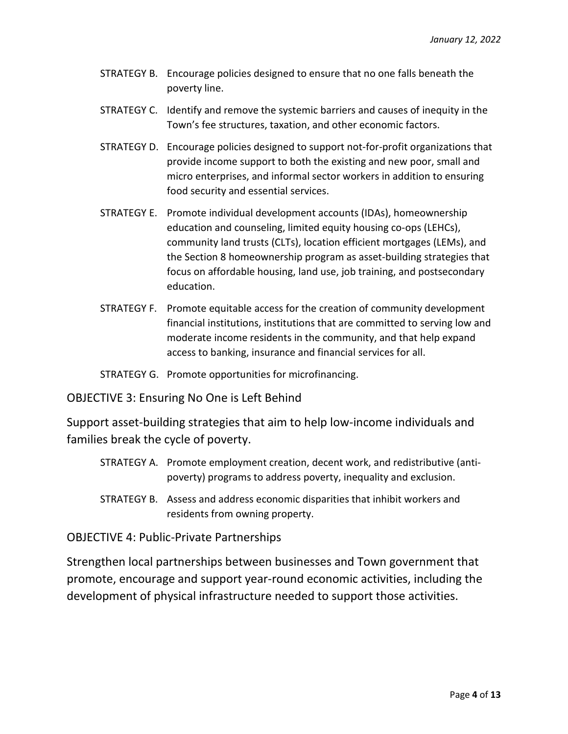- STRATEGY B. Encourage policies designed to ensure that no one falls beneath the poverty line.
- STRATEGY C. Identify and remove the systemic barriers and causes of inequity in the Town's fee structures, taxation, and other economic factors.
- STRATEGY D. Encourage policies designed to support not-for-profit organizations that provide income support to both the existing and new poor, small and micro enterprises, and informal sector workers in addition to ensuring food security and essential services.
- STRATEGY E. Promote individual development accounts (IDAs), homeownership education and counseling, limited equity housing co-ops (LEHCs), community land trusts (CLTs), location efficient mortgages (LEMs), and the Section 8 homeownership program as asset-building strategies that focus on affordable housing, land use, job training, and postsecondary education.
- STRATEGY F. Promote equitable access for the creation of community development financial institutions, institutions that are committed to serving low and moderate income residents in the community, and that help expand access to banking, insurance and financial services for all.
- STRATEGY G. Promote opportunities for microfinancing.

OBJECTIVE 3: Ensuring No One is Left Behind

Support asset-building strategies that aim to help low-income individuals and families break the cycle of poverty.

- STRATEGY A. Promote employment creation, decent work, and redistributive (antipoverty) programs to address poverty, inequality and exclusion.
- STRATEGY B. Assess and address economic disparities that inhibit workers and residents from owning property.

OBJECTIVE 4: Public-Private Partnerships

Strengthen local partnerships between businesses and Town government that promote, encourage and support year-round economic activities, including the development of physical infrastructure needed to support those activities.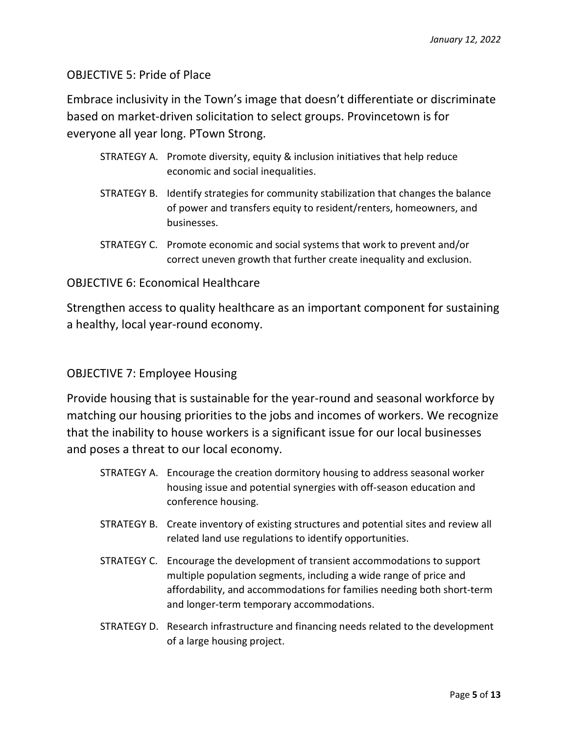### OBJECTIVE 5: Pride of Place

Embrace inclusivity in the Town's image that doesn't differentiate or discriminate based on market-driven solicitation to select groups. Provincetown is for everyone all year long. PTown Strong.

- STRATEGY A. Promote diversity, equity & inclusion initiatives that help reduce economic and social inequalities.
- STRATEGY B. Identify strategies for community stabilization that changes the balance of power and transfers equity to resident/renters, homeowners, and businesses.
- STRATEGY C. Promote economic and social systems that work to prevent and/or correct uneven growth that further create inequality and exclusion.

#### OBJECTIVE 6: Economical Healthcare

Strengthen access to quality healthcare as an important component for sustaining a healthy, local year-round economy.

#### OBJECTIVE 7: Employee Housing

Provide housing that is sustainable for the year-round and seasonal workforce by matching our housing priorities to the jobs and incomes of workers. We recognize that the inability to house workers is a significant issue for our local businesses and poses a threat to our local economy.

- STRATEGY A. Encourage the creation dormitory housing to address seasonal worker housing issue and potential synergies with off-season education and conference housing.
- STRATEGY B. Create inventory of existing structures and potential sites and review all related land use regulations to identify opportunities.
- STRATEGY C. Encourage the development of transient accommodations to support multiple population segments, including a wide range of price and affordability, and accommodations for families needing both short-term and longer-term temporary accommodations.
- STRATEGY D. Research infrastructure and financing needs related to the development of a large housing project.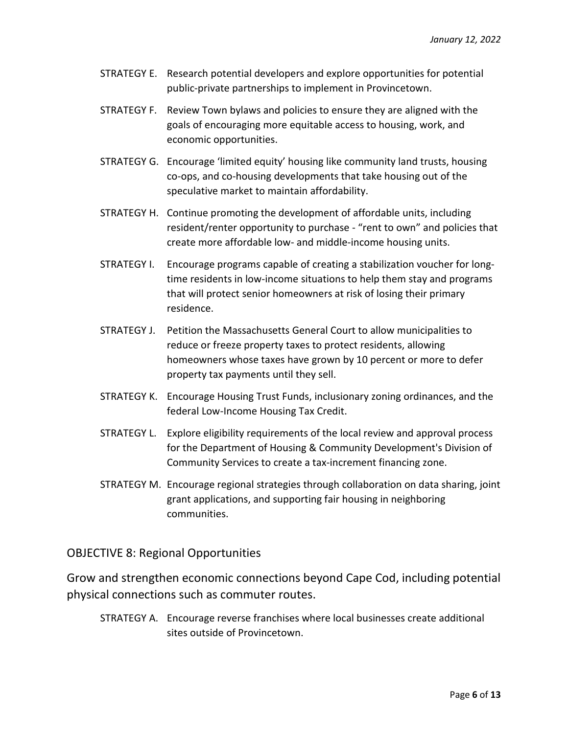- STRATEGY E. Research potential developers and explore opportunities for potential public-private partnerships to implement in Provincetown.
- STRATEGY F. Review Town bylaws and policies to ensure they are aligned with the goals of encouraging more equitable access to housing, work, and economic opportunities.
- STRATEGY G. Encourage 'limited equity' housing like community land trusts, housing co-ops, and co-housing developments that take housing out of the speculative market to maintain affordability.
- STRATEGY H. Continue promoting the development of affordable units, including resident/renter opportunity to purchase - "rent to own" and policies that create more affordable low- and middle-income housing units.
- STRATEGY I. Encourage programs capable of creating a stabilization voucher for longtime residents in low-income situations to help them stay and programs that will protect senior homeowners at risk of losing their primary residence.
- STRATEGY J. Petition the Massachusetts General Court to allow municipalities to reduce or freeze property taxes to protect residents, allowing homeowners whose taxes have grown by 10 percent or more to defer property tax payments until they sell.
- STRATEGY K. Encourage Housing Trust Funds, inclusionary zoning ordinances, and the federal Low-Income Housing Tax Credit.
- STRATEGY L. Explore eligibility requirements of the local review and approval process for the Department of Housing & Community Development's Division of Community Services to create a tax-increment financing zone.
- STRATEGY M. Encourage regional strategies through collaboration on data sharing, joint grant applications, and supporting fair housing in neighboring communities.

#### OBJECTIVE 8: Regional Opportunities

Grow and strengthen economic connections beyond Cape Cod, including potential physical connections such as commuter routes.

STRATEGY A. Encourage reverse franchises where local businesses create additional sites outside of Provincetown.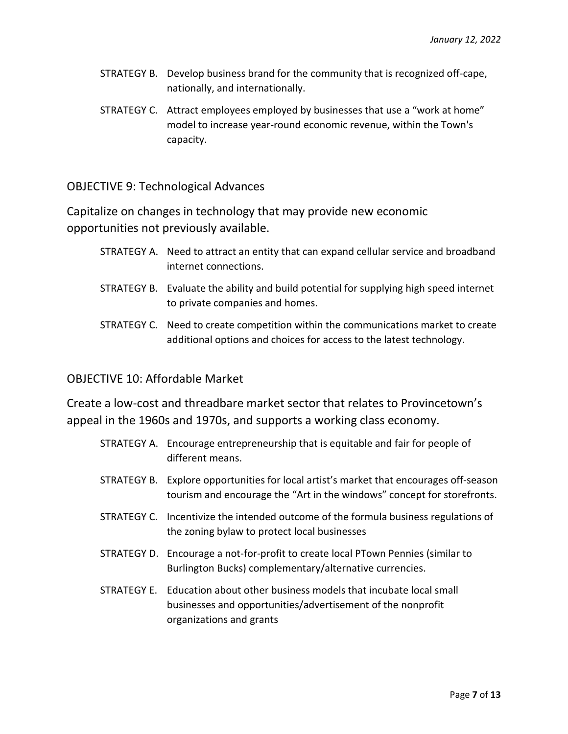- STRATEGY B. Develop business brand for the community that is recognized off-cape, nationally, and internationally.
- STRATEGY C. Attract employees employed by businesses that use a "work at home" model to increase year-round economic revenue, within the Town's capacity.

OBJECTIVE 9: Technological Advances

Capitalize on changes in technology that may provide new economic opportunities not previously available.

- STRATEGY A. Need to attract an entity that can expand cellular service and broadband internet connections.
- STRATEGY B. Evaluate the ability and build potential for supplying high speed internet to private companies and homes.
- STRATEGY C. Need to create competition within the communications market to create additional options and choices for access to the latest technology.

#### OBJECTIVE 10: Affordable Market

Create a low-cost and threadbare market sector that relates to Provincetown's appeal in the 1960s and 1970s, and supports a working class economy.

- STRATEGY A. Encourage entrepreneurship that is equitable and fair for people of different means.
- STRATEGY B. Explore opportunities for local artist's market that encourages off-season tourism and encourage the "Art in the windows" concept for storefronts.
- STRATEGY C. Incentivize the intended outcome of the formula business regulations of the zoning bylaw to protect local businesses
- STRATEGY D. Encourage a not-for-profit to create local PTown Pennies (similar to Burlington Bucks) complementary/alternative currencies.
- STRATEGY E. Education about other business models that incubate local small businesses and opportunities/advertisement of the nonprofit organizations and grants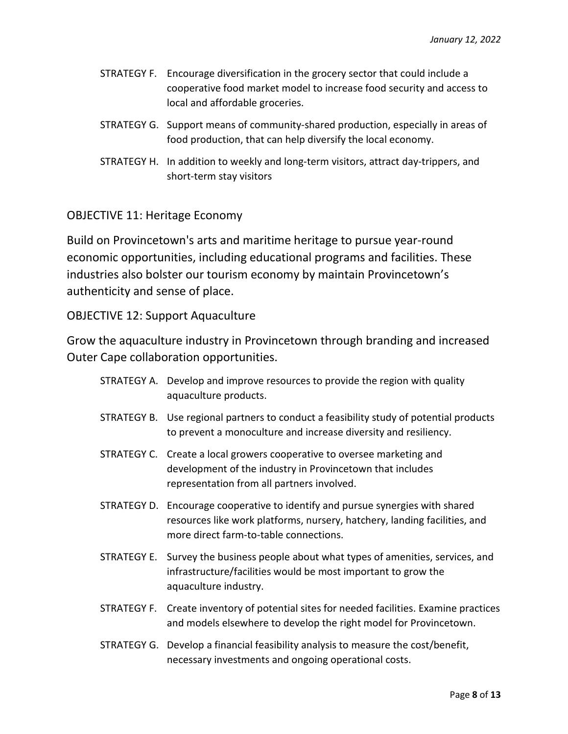- STRATEGY F. Encourage diversification in the grocery sector that could include a cooperative food market model to increase food security and access to local and affordable groceries.
- STRATEGY G. Support means of community-shared production, especially in areas of food production, that can help diversify the local economy.
- STRATEGY H. In addition to weekly and long-term visitors, attract day-trippers, and short-term stay visitors

#### OBJECTIVE 11: Heritage Economy

Build on Provincetown's arts and maritime heritage to pursue year-round economic opportunities, including educational programs and facilities. These industries also bolster our tourism economy by maintain Provincetown's authenticity and sense of place.

OBJECTIVE 12: Support Aquaculture

Grow the aquaculture industry in Provincetown through branding and increased Outer Cape collaboration opportunities.

- STRATEGY A. Develop and improve resources to provide the region with quality aquaculture products.
- STRATEGY B. Use regional partners to conduct a feasibility study of potential products to prevent a monoculture and increase diversity and resiliency.
- STRATEGY C. Create a local growers cooperative to oversee marketing and development of the industry in Provincetown that includes representation from all partners involved.
- STRATEGY D. Encourage cooperative to identify and pursue synergies with shared resources like work platforms, nursery, hatchery, landing facilities, and more direct farm-to-table connections.
- STRATEGY E. Survey the business people about what types of amenities, services, and infrastructure/facilities would be most important to grow the aquaculture industry.
- STRATEGY F. Create inventory of potential sites for needed facilities. Examine practices and models elsewhere to develop the right model for Provincetown.
- STRATEGY G. Develop a financial feasibility analysis to measure the cost/benefit, necessary investments and ongoing operational costs.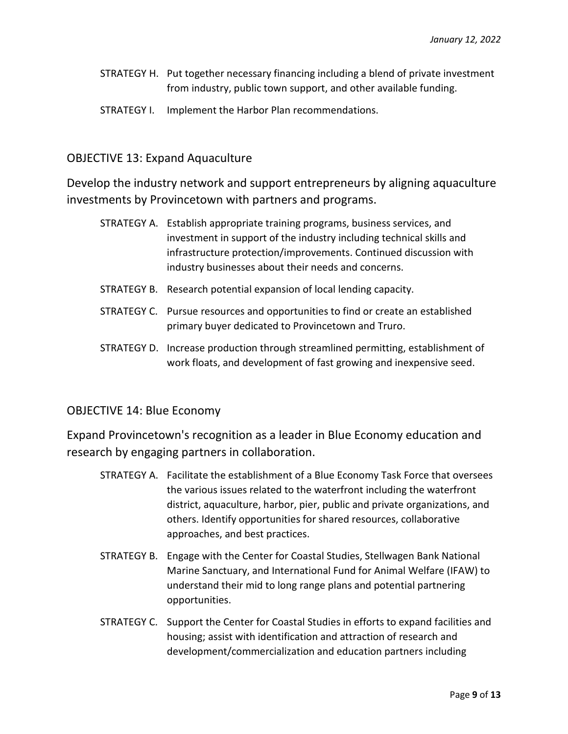- STRATEGY H. Put together necessary financing including a blend of private investment from industry, public town support, and other available funding.
- STRATEGY I. Implement the Harbor Plan recommendations.

#### OBJECTIVE 13: Expand Aquaculture

Develop the industry network and support entrepreneurs by aligning aquaculture investments by Provincetown with partners and programs.

- STRATEGY A. Establish appropriate training programs, business services, and investment in support of the industry including technical skills and infrastructure protection/improvements. Continued discussion with industry businesses about their needs and concerns.
- STRATEGY B. Research potential expansion of local lending capacity.
- STRATEGY C. Pursue resources and opportunities to find or create an established primary buyer dedicated to Provincetown and Truro.
- STRATEGY D. Increase production through streamlined permitting, establishment of work floats, and development of fast growing and inexpensive seed.

#### OBJECTIVE 14: Blue Economy

Expand Provincetown's recognition as a leader in Blue Economy education and research by engaging partners in collaboration.

- STRATEGY A. Facilitate the establishment of a Blue Economy Task Force that oversees the various issues related to the waterfront including the waterfront district, aquaculture, harbor, pier, public and private organizations, and others. Identify opportunities for shared resources, collaborative approaches, and best practices.
- STRATEGY B. Engage with the Center for Coastal Studies, Stellwagen Bank National Marine Sanctuary, and International Fund for Animal Welfare (IFAW) to understand their mid to long range plans and potential partnering opportunities.
- STRATEGY C. Support the Center for Coastal Studies in efforts to expand facilities and housing; assist with identification and attraction of research and development/commercialization and education partners including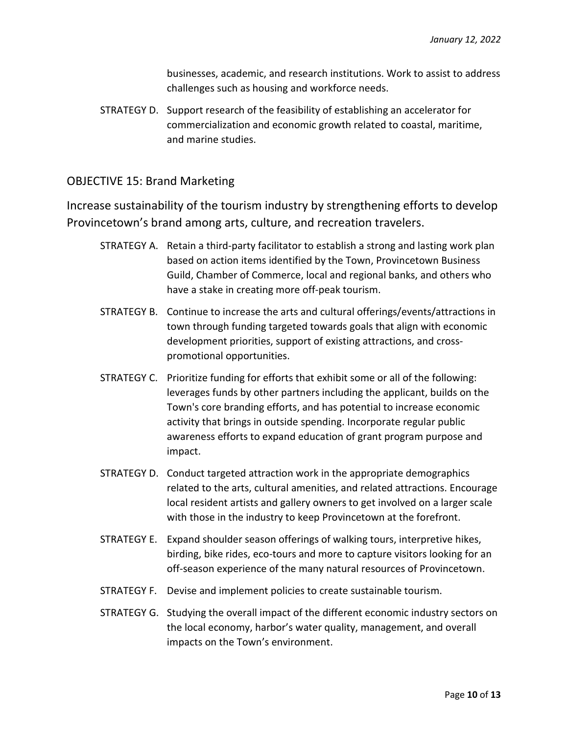businesses, academic, and research institutions. Work to assist to address challenges such as housing and workforce needs.

STRATEGY D. Support research of the feasibility of establishing an accelerator for commercialization and economic growth related to coastal, maritime, and marine studies.

#### OBJECTIVE 15: Brand Marketing

Increase sustainability of the tourism industry by strengthening efforts to develop Provincetown's brand among arts, culture, and recreation travelers.

- STRATEGY A. Retain a third-party facilitator to establish a strong and lasting work plan based on action items identified by the Town, Provincetown Business Guild, Chamber of Commerce, local and regional banks, and others who have a stake in creating more off-peak tourism.
- STRATEGY B. Continue to increase the arts and cultural offerings/events/attractions in town through funding targeted towards goals that align with economic development priorities, support of existing attractions, and crosspromotional opportunities.
- STRATEGY C. Prioritize funding for efforts that exhibit some or all of the following: leverages funds by other partners including the applicant, builds on the Town's core branding efforts, and has potential to increase economic activity that brings in outside spending. Incorporate regular public awareness efforts to expand education of grant program purpose and impact.
- STRATEGY D. Conduct targeted attraction work in the appropriate demographics related to the arts, cultural amenities, and related attractions. Encourage local resident artists and gallery owners to get involved on a larger scale with those in the industry to keep Provincetown at the forefront.
- STRATEGY E. Expand shoulder season offerings of walking tours, interpretive hikes, birding, bike rides, eco-tours and more to capture visitors looking for an off-season experience of the many natural resources of Provincetown.
- STRATEGY F. Devise and implement policies to create sustainable tourism.
- STRATEGY G. Studying the overall impact of the different economic industry sectors on the local economy, harbor's water quality, management, and overall impacts on the Town's environment.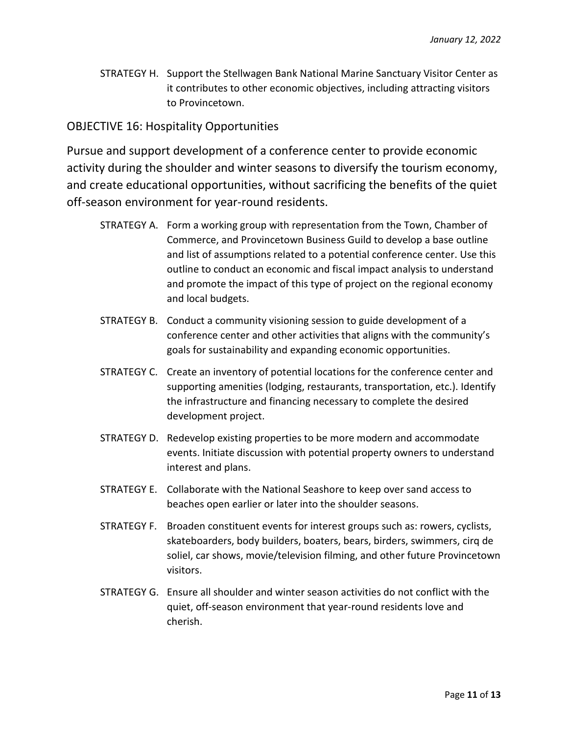STRATEGY H. Support the Stellwagen Bank National Marine Sanctuary Visitor Center as it contributes to other economic objectives, including attracting visitors to Provincetown.

## OBJECTIVE 16: Hospitality Opportunities

Pursue and support development of a conference center to provide economic activity during the shoulder and winter seasons to diversify the tourism economy, and create educational opportunities, without sacrificing the benefits of the quiet off-season environment for year-round residents.

- STRATEGY A. Form a working group with representation from the Town, Chamber of Commerce, and Provincetown Business Guild to develop a base outline and list of assumptions related to a potential conference center. Use this outline to conduct an economic and fiscal impact analysis to understand and promote the impact of this type of project on the regional economy and local budgets.
- STRATEGY B. Conduct a community visioning session to guide development of a conference center and other activities that aligns with the community's goals for sustainability and expanding economic opportunities.
- STRATEGY C. Create an inventory of potential locations for the conference center and supporting amenities (lodging, restaurants, transportation, etc.). Identify the infrastructure and financing necessary to complete the desired development project.
- STRATEGY D. Redevelop existing properties to be more modern and accommodate events. Initiate discussion with potential property owners to understand interest and plans.
- STRATEGY E. Collaborate with the National Seashore to keep over sand access to beaches open earlier or later into the shoulder seasons.
- STRATEGY F. Broaden constituent events for interest groups such as: rowers, cyclists, skateboarders, body builders, boaters, bears, birders, swimmers, cirq de soliel, car shows, movie/television filming, and other future Provincetown visitors.
- STRATEGY G. Ensure all shoulder and winter season activities do not conflict with the quiet, off-season environment that year-round residents love and cherish.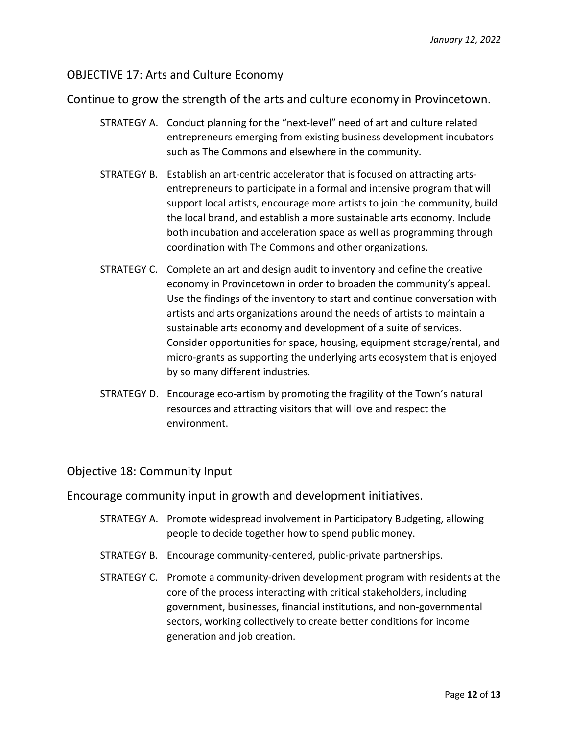#### OBJECTIVE 17: Arts and Culture Economy

Continue to grow the strength of the arts and culture economy in Provincetown.

- STRATEGY A. Conduct planning for the "next-level" need of art and culture related entrepreneurs emerging from existing business development incubators such as The Commons and elsewhere in the community.
- STRATEGY B. Establish an art-centric accelerator that is focused on attracting artsentrepreneurs to participate in a formal and intensive program that will support local artists, encourage more artists to join the community, build the local brand, and establish a more sustainable arts economy. Include both incubation and acceleration space as well as programming through coordination with The Commons and other organizations.
- STRATEGY C. Complete an art and design audit to inventory and define the creative economy in Provincetown in order to broaden the community's appeal. Use the findings of the inventory to start and continue conversation with artists and arts organizations around the needs of artists to maintain a sustainable arts economy and development of a suite of services. Consider opportunities for space, housing, equipment storage/rental, and micro-grants as supporting the underlying arts ecosystem that is enjoyed by so many different industries.
- STRATEGY D. Encourage eco-artism by promoting the fragility of the Town's natural resources and attracting visitors that will love and respect the environment.

#### Objective 18: Community Input

Encourage community input in growth and development initiatives.

- STRATEGY A. Promote widespread involvement in Participatory Budgeting, allowing people to decide together how to spend public money.
- STRATEGY B. Encourage community-centered, public-private partnerships.
- STRATEGY C. Promote a community-driven development program with residents at the core of the process interacting with critical stakeholders, including government, businesses, financial institutions, and non-governmental sectors, working collectively to create better conditions for income generation and job creation.